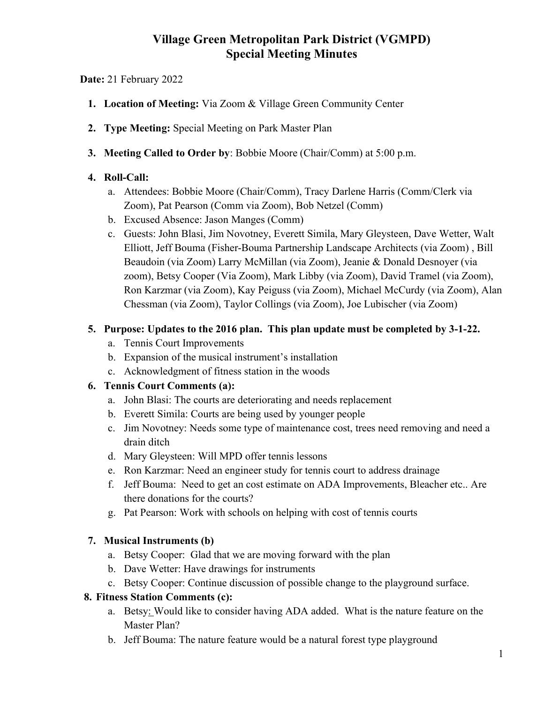# Village Green Metropolitan Park District (VGMPD) Special Meeting Minutes

## Date: 21 February 2022

- 1. Location of Meeting: Via Zoom & Village Green Community Center
- 2. Type Meeting: Special Meeting on Park Master Plan
- 3. Meeting Called to Order by: Bobbie Moore (Chair/Comm) at 5:00 p.m.

## 4. Roll-Call:

- a. Attendees: Bobbie Moore (Chair/Comm), Tracy Darlene Harris (Comm/Clerk via Zoom), Pat Pearson (Comm via Zoom), Bob Netzel (Comm)
- b. Excused Absence: Jason Manges (Comm)
- c. Guests: John Blasi, Jim Novotney, Everett Simila, Mary Gleysteen, Dave Wetter, Walt Elliott, Jeff Bouma (Fisher-Bouma Partnership Landscape Architects (via Zoom) , Bill Beaudoin (via Zoom) Larry McMillan (via Zoom), Jeanie & Donald Desnoyer (via zoom), Betsy Cooper (Via Zoom), Mark Libby (via Zoom), David Tramel (via Zoom), Ron Karzmar (via Zoom), Kay Peiguss (via Zoom), Michael McCurdy (via Zoom), Alan Chessman (via Zoom), Taylor Collings (via Zoom), Joe Lubischer (via Zoom)

## 5. Purpose: Updates to the 2016 plan. This plan update must be completed by 3-1-22.

- a. Tennis Court Improvements
- b. Expansion of the musical instrument's installation
- c. Acknowledgment of fitness station in the woods

# 6. Tennis Court Comments (a):

- a. John Blasi: The courts are deteriorating and needs replacement
- b. Everett Simila: Courts are being used by younger people
- c. Jim Novotney: Needs some type of maintenance cost, trees need removing and need a drain ditch
- d. Mary Gleysteen: Will MPD offer tennis lessons
- e. Ron Karzmar: Need an engineer study for tennis court to address drainage
- f. Jeff Bouma: Need to get an cost estimate on ADA Improvements, Bleacher etc.. Are there donations for the courts?
- g. Pat Pearson: Work with schools on helping with cost of tennis courts

# 7. Musical Instruments (b)

- a. Betsy Cooper: Glad that we are moving forward with the plan
- b. Dave Wetter: Have drawings for instruments
- c. Betsy Cooper: Continue discussion of possible change to the playground surface.

#### 8. Fitness Station Comments (c):

- a. Betsy: Would like to consider having ADA added. What is the nature feature on the Master Plan?
- b. Jeff Bouma: The nature feature would be a natural forest type playground